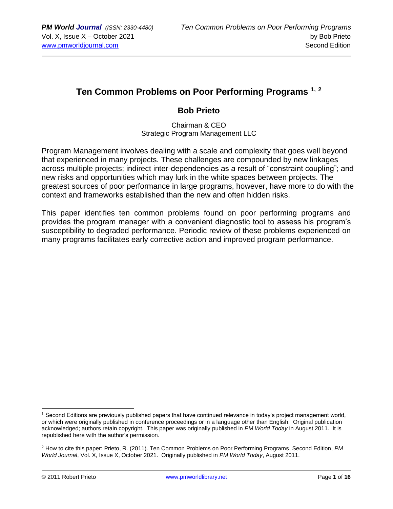# **Ten Common Problems on Poor Performing Programs 1, <sup>2</sup>**

## **Bob Prieto**

Chairman & CEO Strategic Program Management LLC

Program Management involves dealing with a scale and complexity that goes well beyond that experienced in many projects. These challenges are compounded by new linkages across multiple projects; indirect inter-dependencies as a result of "constraint coupling"; and new risks and opportunities which may lurk in the white spaces between projects. The greatest sources of poor performance in large programs, however, have more to do with the context and frameworks established than the new and often hidden risks.

This paper identifies ten common problems found on poor performing programs and provides the program manager with a convenient diagnostic tool to assess his program's susceptibility to degraded performance. Periodic review of these problems experienced on many programs facilitates early corrective action and improved program performance.

<sup>1</sup> Second Editions are previously published papers that have continued relevance in today's project management world, or which were originally published in conference proceedings or in a language other than English. Original publication acknowledged; authors retain copyright. This paper was originally published in *PM World Today* in August 2011. It is republished here with the author's permission.

<sup>2</sup> How to cite this paper: Prieto, R. (2011). Ten Common Problems on Poor Performing Programs, Second Edition, *PM World Journal*, Vol. X, Issue X, October 2021. Originally published in *PM World Today*, August 2011.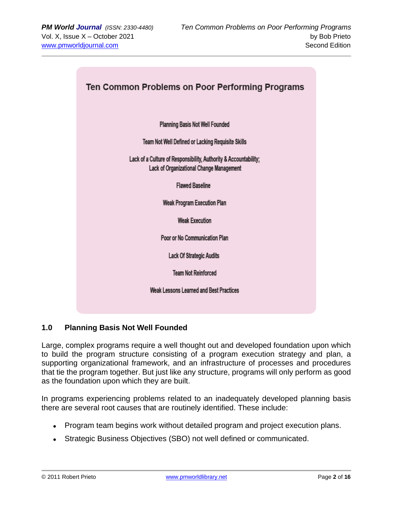

## **1.0 Planning Basis Not Well Founded**

Large, complex programs require a well thought out and developed foundation upon which to build the program structure consisting of a program execution strategy and plan, a supporting organizational framework, and an infrastructure of processes and procedures that tie the program together. But just like any structure, programs will only perform as good as the foundation upon which they are built.

In programs experiencing problems related to an inadequately developed planning basis there are several root causes that are routinely identified. These include:

- Program team begins work without detailed program and project execution plans.
- Strategic Business Objectives (SBO) not well defined or communicated.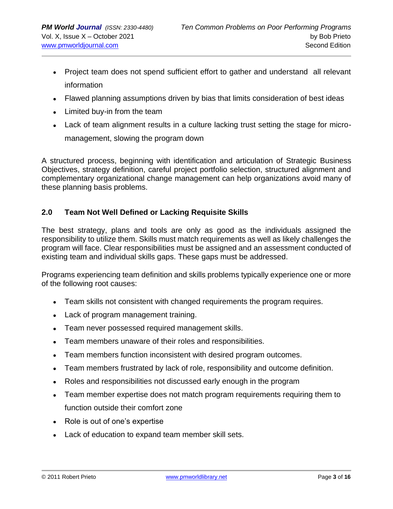- Project team does not spend sufficient effort to gather and understand all relevant information
- Flawed planning assumptions driven by bias that limits consideration of best ideas
- Limited buy-in from the team
- Lack of team alignment results in a culture lacking trust setting the stage for micromanagement, slowing the program down

A structured process, beginning with identification and articulation of Strategic Business Objectives, strategy definition, careful project portfolio selection, structured alignment and complementary organizational change management can help organizations avoid many of these planning basis problems.

### **2.0 Team Not Well Defined or Lacking Requisite Skills**

The best strategy, plans and tools are only as good as the individuals assigned the responsibility to utilize them. Skills must match requirements as well as likely challenges the program will face. Clear responsibilities must be assigned and an assessment conducted of existing team and individual skills gaps. These gaps must be addressed.

Programs experiencing team definition and skills problems typically experience one or more of the following root causes:

- Team skills not consistent with changed requirements the program requires.
- Lack of program management training.
- Team never possessed required management skills.
- Team members unaware of their roles and responsibilities.
- Team members function inconsistent with desired program outcomes.
- Team members frustrated by lack of role, responsibility and outcome definition.
- Roles and responsibilities not discussed early enough in the program
- Team member expertise does not match program requirements requiring them to function outside their comfort zone
- Role is out of one's expertise
- Lack of education to expand team member skill sets.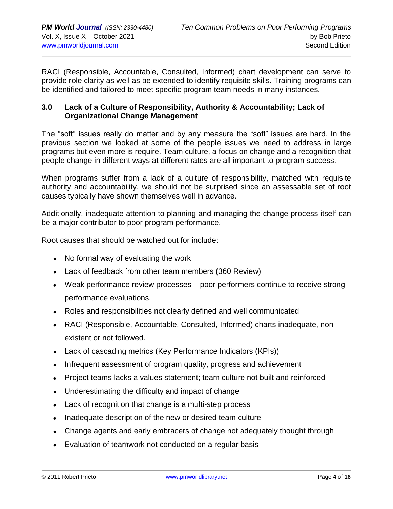RACI (Responsible, Accountable, Consulted, Informed) chart development can serve to provide role clarity as well as be extended to identify requisite skills. Training programs can be identified and tailored to meet specific program team needs in many instances.

### **3.0 Lack of a Culture of Responsibility, Authority & Accountability; Lack of Organizational Change Management**

The "soft" issues really do matter and by any measure the "soft" issues are hard. In the previous section we looked at some of the people issues we need to address in large programs but even more is require. Team culture, a focus on change and a recognition that people change in different ways at different rates are all important to program success.

When programs suffer from a lack of a culture of responsibility, matched with requisite authority and accountability, we should not be surprised since an assessable set of root causes typically have shown themselves well in advance.

Additionally, inadequate attention to planning and managing the change process itself can be a major contributor to poor program performance.

Root causes that should be watched out for include:

- No formal way of evaluating the work
- Lack of feedback from other team members (360 Review)
- Weak performance review processes poor performers continue to receive strong performance evaluations.
- Roles and responsibilities not clearly defined and well communicated
- RACI (Responsible, Accountable, Consulted, Informed) charts inadequate, non existent or not followed.
- Lack of cascading metrics (Key Performance Indicators (KPIs))
- Infrequent assessment of program quality, progress and achievement
- Project teams lacks a values statement; team culture not built and reinforced
- Underestimating the difficulty and impact of change
- Lack of recognition that change is a multi-step process
- Inadequate description of the new or desired team culture
- Change agents and early embracers of change not adequately thought through
- Evaluation of teamwork not conducted on a regular basis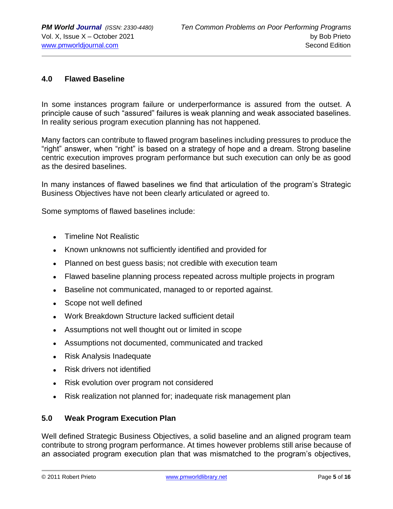#### **4.0 Flawed Baseline**

In some instances program failure or underperformance is assured from the outset. A principle cause of such "assured" failures is weak planning and weak associated baselines. In reality serious program execution planning has not happened.

Many factors can contribute to flawed program baselines including pressures to produce the "right" answer, when "right" is based on a strategy of hope and a dream. Strong baseline centric execution improves program performance but such execution can only be as good as the desired baselines.

In many instances of flawed baselines we find that articulation of the program's Strategic Business Objectives have not been clearly articulated or agreed to.

Some symptoms of flawed baselines include:

- Timeline Not Realistic
- Known unknowns not sufficiently identified and provided for
- Planned on best guess basis; not credible with execution team
- Flawed baseline planning process repeated across multiple projects in program
- Baseline not communicated, managed to or reported against.
- Scope not well defined
- Work Breakdown Structure lacked sufficient detail
- Assumptions not well thought out or limited in scope
- Assumptions not documented, communicated and tracked
- Risk Analysis Inadequate
- Risk drivers not identified
- Risk evolution over program not considered
- Risk realization not planned for; inadequate risk management plan

#### **5.0 Weak Program Execution Plan**

Well defined Strategic Business Objectives, a solid baseline and an aligned program team contribute to strong program performance. At times however problems still arise because of an associated program execution plan that was mismatched to the program's objectives,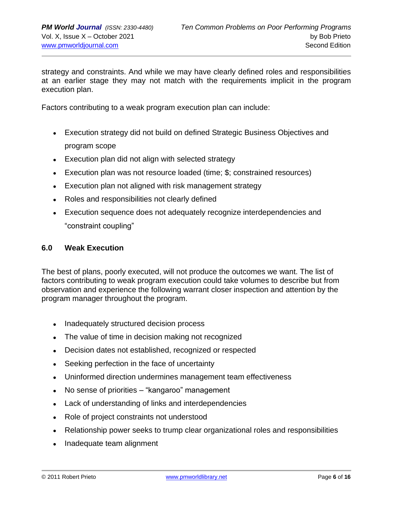strategy and constraints. And while we may have clearly defined roles and responsibilities at an earlier stage they may not match with the requirements implicit in the program execution plan.

Factors contributing to a weak program execution plan can include:

- Execution strategy did not build on defined Strategic Business Objectives and program scope
- Execution plan did not align with selected strategy
- Execution plan was not resource loaded (time; \$; constrained resources)
- Execution plan not aligned with risk management strategy
- Roles and responsibilities not clearly defined
- Execution sequence does not adequately recognize interdependencies and "constraint coupling"

#### **6.0 Weak Execution**

The best of plans, poorly executed, will not produce the outcomes we want. The list of factors contributing to weak program execution could take volumes to describe but from observation and experience the following warrant closer inspection and attention by the program manager throughout the program.

- Inadequately structured decision process
- The value of time in decision making not recognized
- Decision dates not established, recognized or respected
- Seeking perfection in the face of uncertainty
- Uninformed direction undermines management team effectiveness
- No sense of priorities "kangaroo" management
- Lack of understanding of links and interdependencies
- Role of project constraints not understood
- Relationship power seeks to trump clear organizational roles and responsibilities
- Inadequate team alignment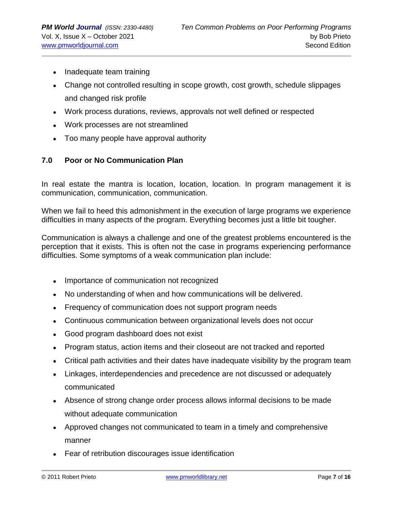- Inadequate team training
- Change not controlled resulting in scope growth, cost growth, schedule slippages and changed risk profile
- Work process durations, reviews, approvals not well defined or respected
- Work processes are not streamlined
- Too many people have approval authority

### **7.0 Poor or No Communication Plan**

In real estate the mantra is location, location, location. In program management it is communication, communication, communication.

When we fail to heed this admonishment in the execution of large programs we experience difficulties in many aspects of the program. Everything becomes just a little bit tougher.

Communication is always a challenge and one of the greatest problems encountered is the perception that it exists. This is often not the case in programs experiencing performance difficulties. Some symptoms of a weak communication plan include:

- Importance of communication not recognized
- No understanding of when and how communications will be delivered.
- Frequency of communication does not support program needs
- Continuous communication between organizational levels does not occur
- Good program dashboard does not exist
- Program status, action items and their closeout are not tracked and reported
- Critical path activities and their dates have inadequate visibility by the program team
- Linkages, interdependencies and precedence are not discussed or adequately communicated
- Absence of strong change order process allows informal decisions to be made without adequate communication
- Approved changes not communicated to team in a timely and comprehensive manner
- Fear of retribution discourages issue identification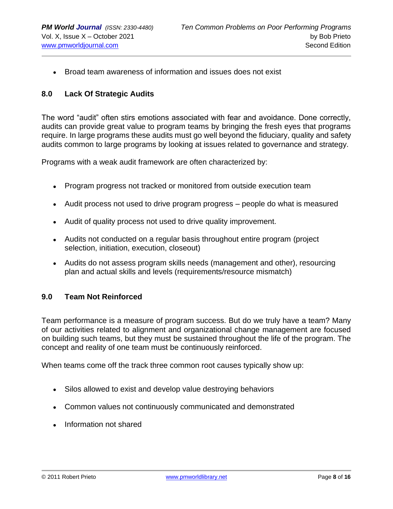• Broad team awareness of information and issues does not exist

#### **8.0 Lack Of Strategic Audits**

The word "audit" often stirs emotions associated with fear and avoidance. Done correctly, audits can provide great value to program teams by bringing the fresh eyes that programs require. In large programs these audits must go well beyond the fiduciary, quality and safety audits common to large programs by looking at issues related to governance and strategy.

Programs with a weak audit framework are often characterized by:

- Program progress not tracked or monitored from outside execution team
- Audit process not used to drive program progress people do what is measured
- Audit of quality process not used to drive quality improvement.
- Audits not conducted on a regular basis throughout entire program (project selection, initiation, execution, closeout)
- Audits do not assess program skills needs (management and other), resourcing plan and actual skills and levels (requirements/resource mismatch)

#### **9.0 Team Not Reinforced**

Team performance is a measure of program success. But do we truly have a team? Many of our activities related to alignment and organizational change management are focused on building such teams, but they must be sustained throughout the life of the program. The concept and reality of one team must be continuously reinforced.

When teams come off the track three common root causes typically show up:

- Silos allowed to exist and develop value destroying behaviors
- Common values not continuously communicated and demonstrated
- Information not shared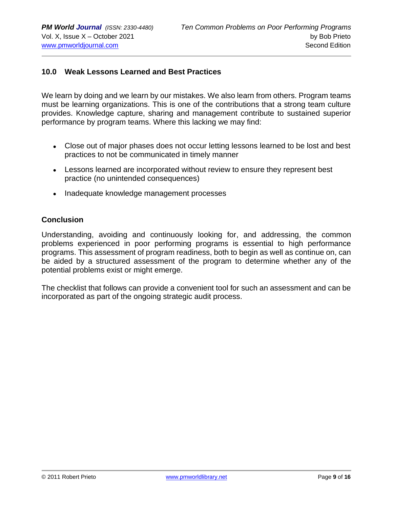### **10.0 Weak Lessons Learned and Best Practices**

We learn by doing and we learn by our mistakes. We also learn from others. Program teams must be learning organizations. This is one of the contributions that a strong team culture provides. Knowledge capture, sharing and management contribute to sustained superior performance by program teams. Where this lacking we may find:

- Close out of major phases does not occur letting lessons learned to be lost and best practices to not be communicated in timely manner
- Lessons learned are incorporated without review to ensure they represent best practice (no unintended consequences)
- Inadequate knowledge management processes

#### **Conclusion**

Understanding, avoiding and continuously looking for, and addressing, the common problems experienced in poor performing programs is essential to high performance programs. This assessment of program readiness, both to begin as well as continue on, can be aided by a structured assessment of the program to determine whether any of the potential problems exist or might emerge.

The checklist that follows can provide a convenient tool for such an assessment and can be incorporated as part of the ongoing strategic audit process.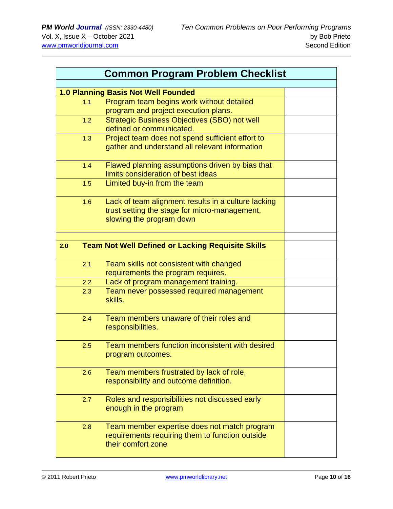| <b>Common Program Problem Checklist</b> |                                                                                 |  |  |
|-----------------------------------------|---------------------------------------------------------------------------------|--|--|
|                                         |                                                                                 |  |  |
|                                         | <b>1.0 Planning Basis Not Well Founded</b>                                      |  |  |
| 1.1                                     | Program team begins work without detailed                                       |  |  |
|                                         | program and project execution plans.                                            |  |  |
| 1.2                                     | <b>Strategic Business Objectives (SBO) not well</b><br>defined or communicated. |  |  |
|                                         |                                                                                 |  |  |
| 1.3                                     | Project team does not spend sufficient effort to                                |  |  |
|                                         | gather and understand all relevant information                                  |  |  |
| 1.4                                     | Flawed planning assumptions driven by bias that                                 |  |  |
|                                         | limits consideration of best ideas                                              |  |  |
| 1.5                                     | Limited buy-in from the team                                                    |  |  |
| 1.6                                     | Lack of team alignment results in a culture lacking                             |  |  |
|                                         | trust setting the stage for micro-management,                                   |  |  |
|                                         | slowing the program down                                                        |  |  |
|                                         |                                                                                 |  |  |
| 2.0                                     | <b>Team Not Well Defined or Lacking Requisite Skills</b>                        |  |  |
|                                         |                                                                                 |  |  |
| 2.1                                     | Team skills not consistent with changed                                         |  |  |
|                                         | requirements the program requires.                                              |  |  |
| 2.2                                     | Lack of program management training.                                            |  |  |
| 2.3                                     | Team never possessed required management                                        |  |  |
|                                         | skills.                                                                         |  |  |
|                                         |                                                                                 |  |  |
| 2.4                                     | Team members unaware of their roles and                                         |  |  |
|                                         | responsibilities.                                                               |  |  |
| 2.5                                     | Team members function inconsistent with desired                                 |  |  |
|                                         | program outcomes.                                                               |  |  |
|                                         |                                                                                 |  |  |
| 2.6                                     | Team members frustrated by lack of role,                                        |  |  |
|                                         | responsibility and outcome definition.                                          |  |  |
|                                         |                                                                                 |  |  |
| 2.7                                     | Roles and responsibilities not discussed early                                  |  |  |
|                                         | enough in the program                                                           |  |  |
|                                         |                                                                                 |  |  |
| 2.8                                     | Team member expertise does not match program                                    |  |  |
|                                         | requirements requiring them to function outside<br>their comfort zone           |  |  |
|                                         |                                                                                 |  |  |
|                                         |                                                                                 |  |  |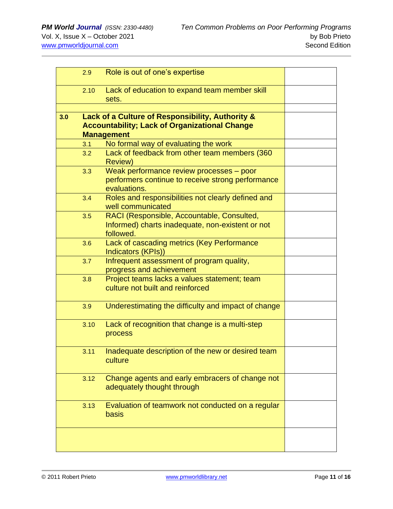|                                                                                                                                      | 2.9  | Role is out of one's expertise                                                                                |  |
|--------------------------------------------------------------------------------------------------------------------------------------|------|---------------------------------------------------------------------------------------------------------------|--|
|                                                                                                                                      | 2.10 | Lack of education to expand team member skill<br>sets.                                                        |  |
| Lack of a Culture of Responsibility, Authority &<br>3.0<br><b>Accountability; Lack of Organizational Change</b><br><b>Management</b> |      |                                                                                                               |  |
|                                                                                                                                      | 3.1  | No formal way of evaluating the work                                                                          |  |
|                                                                                                                                      | 3.2  | Lack of feedback from other team members (360<br><b>Review)</b>                                               |  |
|                                                                                                                                      | 3.3  | Weak performance review processes - poor<br>performers continue to receive strong performance<br>evaluations. |  |
|                                                                                                                                      | 3.4  | Roles and responsibilities not clearly defined and<br>well communicated                                       |  |
|                                                                                                                                      | 3.5  | RACI (Responsible, Accountable, Consulted,<br>Informed) charts inadequate, non-existent or not<br>followed.   |  |
|                                                                                                                                      | 3.6  | Lack of cascading metrics (Key Performance<br>Indicators (KPIs))                                              |  |
|                                                                                                                                      | 3.7  | Infrequent assessment of program quality,<br>progress and achievement                                         |  |
|                                                                                                                                      | 3.8  | Project teams lacks a values statement; team<br>culture not built and reinforced                              |  |
|                                                                                                                                      | 3.9  | Underestimating the difficulty and impact of change                                                           |  |
|                                                                                                                                      | 3.10 | Lack of recognition that change is a multi-step<br>process                                                    |  |
|                                                                                                                                      | 3.11 | Inadequate description of the new or desired team<br>culture                                                  |  |
|                                                                                                                                      | 3.12 | Change agents and early embracers of change not<br>adequately thought through                                 |  |
|                                                                                                                                      | 3.13 | Evaluation of teamwork not conducted on a regular<br>basis                                                    |  |
|                                                                                                                                      |      |                                                                                                               |  |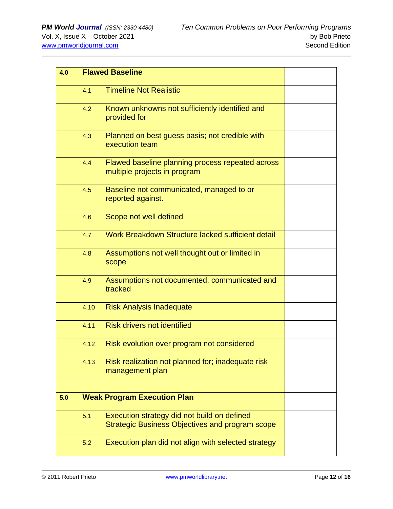| 4.0 | <b>Flawed Baseline</b>             |                                                                                                       |  |
|-----|------------------------------------|-------------------------------------------------------------------------------------------------------|--|
|     | 4.1                                | <b>Timeline Not Realistic</b>                                                                         |  |
|     | 4.2                                | Known unknowns not sufficiently identified and<br>provided for                                        |  |
|     | 4.3                                | Planned on best guess basis; not credible with<br>execution team                                      |  |
|     | 4.4                                | Flawed baseline planning process repeated across<br>multiple projects in program                      |  |
|     | 4.5                                | Baseline not communicated, managed to or<br>reported against.                                         |  |
|     | 4.6                                | Scope not well defined                                                                                |  |
|     | 4.7                                | Work Breakdown Structure lacked sufficient detail                                                     |  |
|     | 4.8                                | Assumptions not well thought out or limited in<br>scope                                               |  |
|     | 4.9                                | Assumptions not documented, communicated and<br>tracked                                               |  |
|     | 4.10                               | <b>Risk Analysis Inadequate</b>                                                                       |  |
|     | 4.11                               | <b>Risk drivers not identified</b>                                                                    |  |
|     | 4.12                               | Risk evolution over program not considered                                                            |  |
|     | 4.13                               | Risk realization not planned for; inadequate risk<br>management plan                                  |  |
| 5.0 | <b>Weak Program Execution Plan</b> |                                                                                                       |  |
|     | 5.1                                | Execution strategy did not build on defined<br><b>Strategic Business Objectives and program scope</b> |  |
|     | 5.2                                | Execution plan did not align with selected strategy                                                   |  |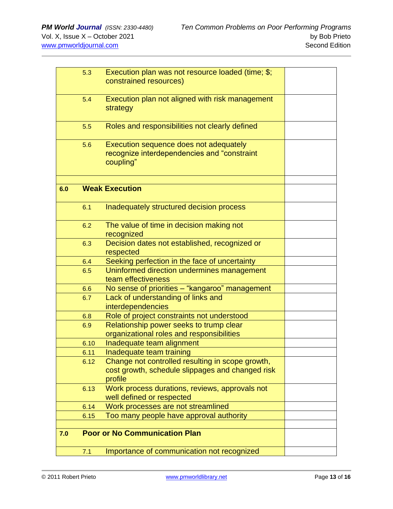|     | 5.3  | Execution plan was not resource loaded (time; \$;<br>constrained resources)                                     |  |
|-----|------|-----------------------------------------------------------------------------------------------------------------|--|
|     | 5.4  | Execution plan not aligned with risk management<br>strategy                                                     |  |
|     | 5.5  | Roles and responsibilities not clearly defined                                                                  |  |
|     | 5.6  | Execution sequence does not adequately<br>recognize interdependencies and "constraint<br>coupling"              |  |
| 6.0 |      | <b>Weak Execution</b>                                                                                           |  |
|     | 6.1  | Inadequately structured decision process                                                                        |  |
|     | 6.2  | The value of time in decision making not<br>recognized                                                          |  |
|     | 6.3  | Decision dates not established, recognized or<br>respected                                                      |  |
|     | 6.4  | Seeking perfection in the face of uncertainty                                                                   |  |
|     | 6.5  | Uninformed direction undermines management<br>team effectiveness                                                |  |
|     | 6.6  | No sense of priorities - "kangaroo" management                                                                  |  |
|     | 6.7  | Lack of understanding of links and<br><b>interdependencies</b>                                                  |  |
|     | 6.8  | Role of project constraints not understood                                                                      |  |
|     | 6.9  | Relationship power seeks to trump clear<br>organizational roles and responsibilities                            |  |
|     | 6.10 | Inadequate team alignment                                                                                       |  |
|     | 6.11 | Inadequate team training                                                                                        |  |
|     | 6.12 | Change not controlled resulting in scope growth,<br>cost growth, schedule slippages and changed risk<br>profile |  |
|     | 6.13 | Work process durations, reviews, approvals not<br>well defined or respected                                     |  |
|     | 6.14 | Work processes are not streamlined                                                                              |  |
|     | 6.15 | Too many people have approval authority                                                                         |  |
| 7.0 |      | <b>Poor or No Communication Plan</b>                                                                            |  |
|     | 7.1  | Importance of communication not recognized                                                                      |  |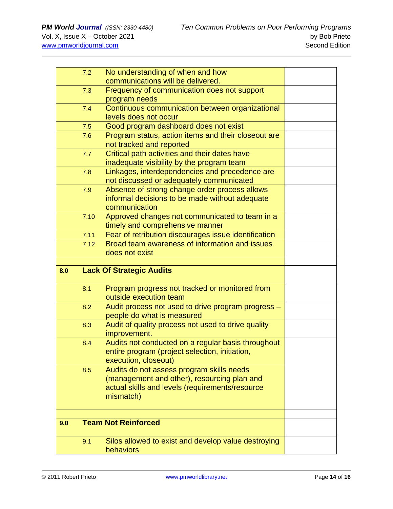|     | 7.2  | No understanding of when and how                                                                     |  |
|-----|------|------------------------------------------------------------------------------------------------------|--|
|     |      | communications will be delivered.                                                                    |  |
|     | 7.3  | Frequency of communication does not support                                                          |  |
|     |      | program needs                                                                                        |  |
|     | 7.4  | Continuous communication between organizational                                                      |  |
|     |      | levels does not occur                                                                                |  |
|     | 7.5  | Good program dashboard does not exist                                                                |  |
|     | 7.6  | Program status, action items and their closeout are                                                  |  |
|     |      | not tracked and reported                                                                             |  |
|     | 7.7  | Critical path activities and their dates have                                                        |  |
|     |      | inadequate visibility by the program team                                                            |  |
|     | 7.8  | Linkages, interdependencies and precedence are                                                       |  |
|     |      | not discussed or adequately communicated                                                             |  |
|     | 7.9  | Absence of strong change order process allows                                                        |  |
|     |      | informal decisions to be made without adequate                                                       |  |
|     |      | communication                                                                                        |  |
|     | 7.10 | Approved changes not communicated to team in a                                                       |  |
|     |      | timely and comprehensive manner                                                                      |  |
|     | 7.11 | Fear of retribution discourages issue identification                                                 |  |
|     | 7.12 | Broad team awareness of information and issues                                                       |  |
|     |      | does not exist                                                                                       |  |
|     |      |                                                                                                      |  |
| 8.0 |      | <b>Lack Of Strategic Audits</b>                                                                      |  |
|     | 8.1  | Program progress not tracked or monitored from                                                       |  |
|     |      |                                                                                                      |  |
|     |      | outside execution team                                                                               |  |
|     | 8.2  | Audit process not used to drive program progress -                                                   |  |
|     |      | people do what is measured                                                                           |  |
|     | 8.3  |                                                                                                      |  |
|     |      | Audit of quality process not used to drive quality<br>improvement.                                   |  |
|     | 8.4  |                                                                                                      |  |
|     |      | Audits not conducted on a regular basis throughout<br>entire program (project selection, initiation, |  |
|     |      | execution, closeout)                                                                                 |  |
|     | 8.5  | Audits do not assess program skills needs                                                            |  |
|     |      | (management and other), resourcing plan and                                                          |  |
|     |      | actual skills and levels (requirements/resource                                                      |  |
|     |      | mismatch)                                                                                            |  |
|     |      |                                                                                                      |  |
|     |      |                                                                                                      |  |
| 9.0 |      | <b>Team Not Reinforced</b>                                                                           |  |
|     | 9.1  |                                                                                                      |  |
|     |      | Silos allowed to exist and develop value destroying<br>behaviors                                     |  |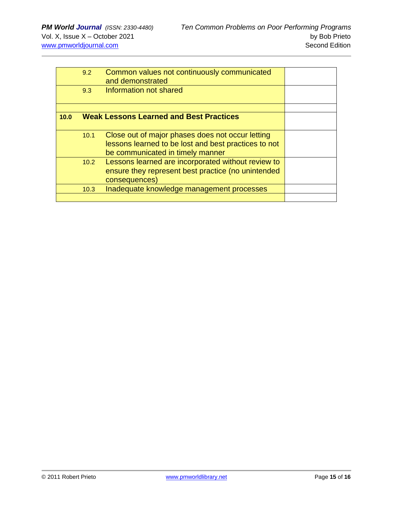|      | 9.2  | Common values not continuously communicated<br>and demonstrated                                                                              |  |
|------|------|----------------------------------------------------------------------------------------------------------------------------------------------|--|
|      | 9.3  | Information not shared                                                                                                                       |  |
|      |      |                                                                                                                                              |  |
| 10.0 |      | <b>Weak Lessons Learned and Best Practices</b>                                                                                               |  |
|      | 10.1 | Close out of major phases does not occur letting<br>lessons learned to be lost and best practices to not<br>be communicated in timely manner |  |
|      | 10.2 | Lessons learned are incorporated without review to<br>ensure they represent best practice (no unintended<br>consequences)                    |  |
|      | 10.3 | Inadequate knowledge management processes                                                                                                    |  |
|      |      |                                                                                                                                              |  |